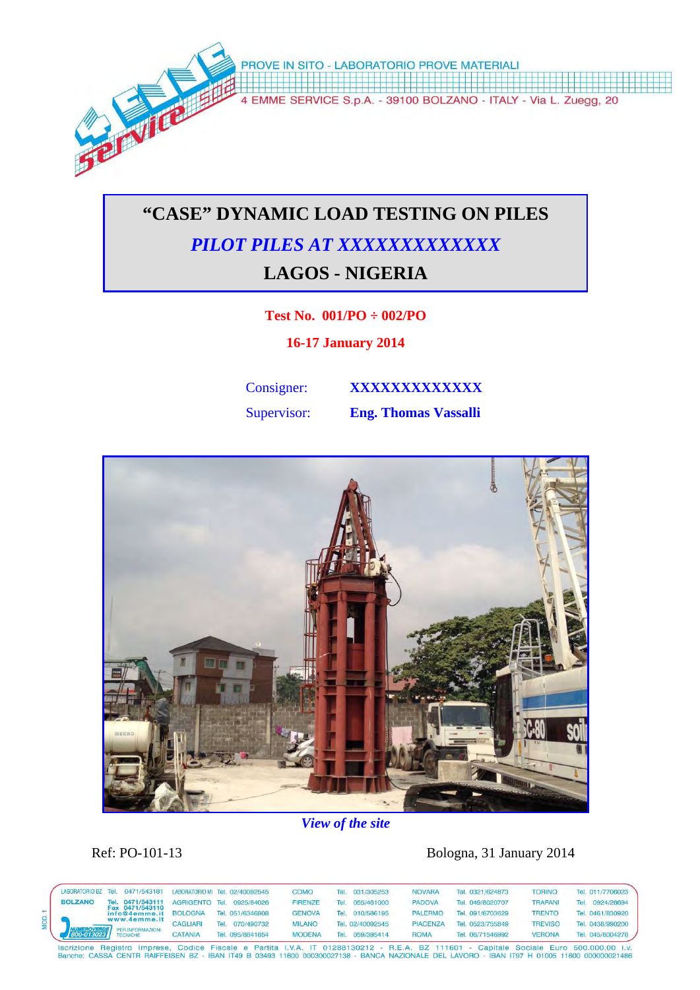

# **"CASE" DYNAMIC LOAD TESTING ON PILES**  *PILOT PILES AT XXXXXXXXXXXXX*  **LAGOS - NIGERIA**

#### **Test No. 001/PO ÷ 002/PO**

**16-17 January 2014** 

Consigner: **XXXXXXXXXXXX** 

Supervisor: **Eng. Thomas Vassalli** 



## *View of the site*

Ref: PO-101-13 Bologna, 31 January 2014

|                | LABORATORIO BZ Tel. |             | 0471/543181                         |                |            | LABORATORIO MI Tel. 02/40092545 | <b>COMO</b>   | Tel.       | 031/305253       | <b>NOVARA</b>    | Tel. 0321/624873    | <b>TORINO</b>  |            | Tel. 011/7706023 |
|----------------|---------------------|-------------|-------------------------------------|----------------|------------|---------------------------------|---------------|------------|------------------|------------------|---------------------|----------------|------------|------------------|
| <b>BOLZANO</b> | l Fell              | 0471/543111 | <b>AGRIGENTO Tel.</b>               |                | 0925/84026 | <b>FIRENZE</b>                  | Tel           | 055/461000 | <b>PADOVA</b>    | Tel. 049/8020707 | <b>TRAPANI</b>      | Tel            | 0924/26694 |                  |
|                | 800-013023          |             | Fax 0471/543110<br>info@4emme.it    | <b>BOLOGNA</b> |            | Tel. 051/6346808                | <b>GENOVA</b> | Tel        | 010/586195       | <b>PALERMC</b>   | Tel. 091/6703629    | <b>TRENTO</b>  |            | Tel. 0461/830920 |
|                |                     |             | www.4emme.it                        | CAGLIARI       | Tel.       | 070/490732                      | <b>MILANO</b> |            | Tel. 02/40092545 | <b>PIACENZA</b>  | 0523/755849<br>Tei. | <b>TREVISO</b> | Tel        | 0438/990200      |
|                |                     |             | PER INFORMAZIONI<br><b>TECNICHE</b> | <b>CATANIA</b> |            | Tel. 095/8841854                | <b>MODENA</b> | Tel        | 059/395414       | <b>ROMA</b>      | Tel. 06/71546992    | <b>VERONA</b>  |            | Tel. 045/8004278 |

SANCHOTE REGISTO THIPPESE, COURS FISCHE E FAINLA L.V.A. IT UTZSO BOOST AT A LE.A. DZ TTIGUT - CANNER CURRENTER<br>BARCHO: CASSA CENTR RAIFFEISEN BZ - IBAN IT49 B 03493 11600 000300027138 - BANCA NAZIONALE DEL LAVORO - IBAN IT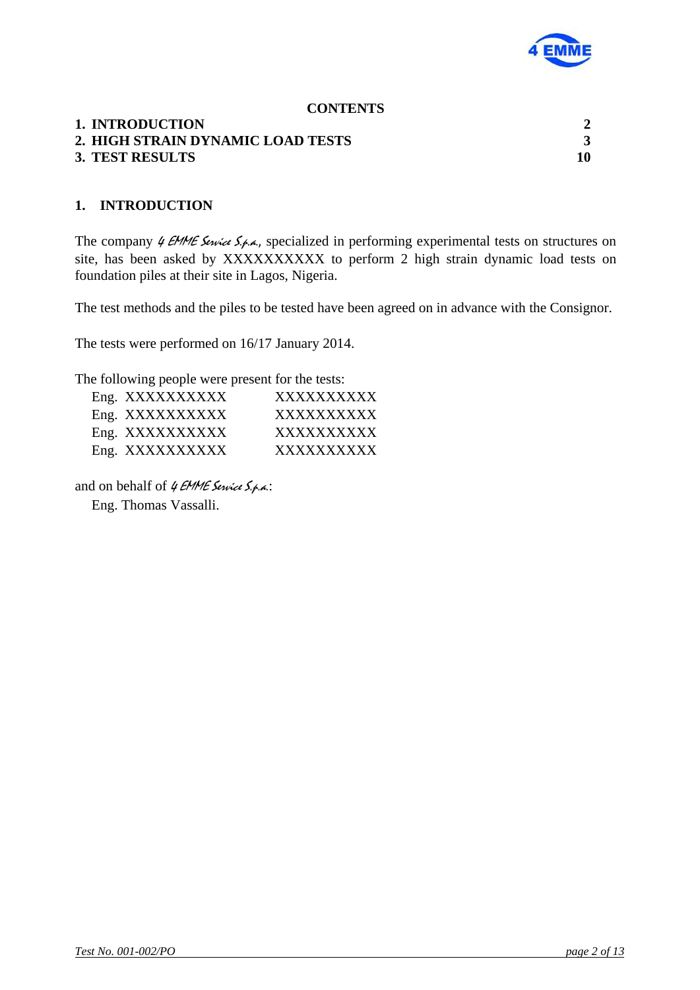

#### **CONTENTS**

#### **1. INTRODUCTION 2**

# **2. HIGH STRAIN DYNAMIC LOAD TESTS 3**

#### **3. TEST RESULTS 10**

#### **1. INTRODUCTION**

The company  $\theta$  EMME Service S.p.a., specialized in performing experimental tests on structures on site, has been asked by XXXXXXXXXX to perform 2 high strain dynamic load tests on foundation piles at their site in Lagos, Nigeria.

The test methods and the piles to be tested have been agreed on in advance with the Consignor.

The tests were performed on 16/17 January 2014.

The following people were present for the tests:

| Eng. XXXXXXXXXX | <b>XXXXXXXXXX</b> |
|-----------------|-------------------|
| Eng. XXXXXXXXXX | <b>XXXXXXXXXX</b> |
| Eng. XXXXXXXXXX | <b>XXXXXXXXXX</b> |
| Eng. XXXXXXXXXX | XXXXXXXXXX        |

and on behalf of  $4$  EMME Service  $S_{.4}$ .

Eng. Thomas Vassalli.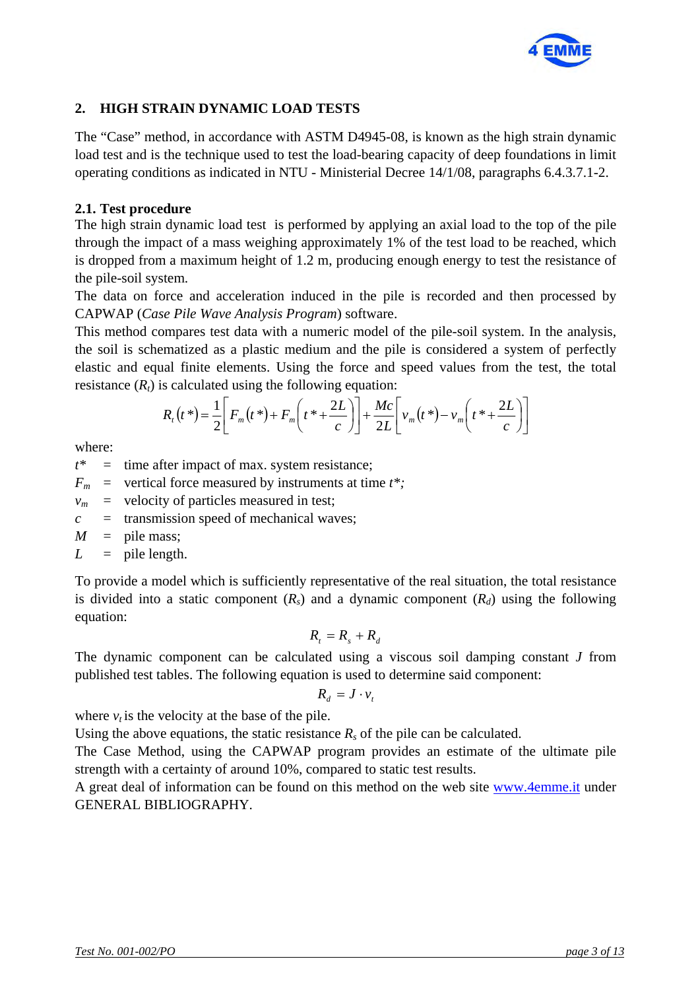

### **2. HIGH STRAIN DYNAMIC LOAD TESTS**

The "Case" method, in accordance with ASTM D4945-08, is known as the high strain dynamic load test and is the technique used to test the load-bearing capacity of deep foundations in limit operating conditions as indicated in NTU - Ministerial Decree 14/1/08, paragraphs 6.4.3.7.1-2.

#### **2.1. Test procedure**

The high strain dynamic load test is performed by applying an axial load to the top of the pile through the impact of a mass weighing approximately 1% of the test load to be reached, which is dropped from a maximum height of 1.2 m, producing enough energy to test the resistance of the pile-soil system.

The data on force and acceleration induced in the pile is recorded and then processed by CAPWAP (*Case Pile Wave Analysis Program*) software.

This method compares test data with a numeric model of the pile-soil system. In the analysis, the soil is schematized as a plastic medium and the pile is considered a system of perfectly elastic and equal finite elements. Using the force and speed values from the test, the total resistance  $(R_t)$  is calculated using the following equation:

$$
R_t(t^*) = \frac{1}{2} \left[ F_m(t^*) + F_m\left(t^* + \frac{2L}{c}\right) \right] + \frac{Mc}{2L} \left[ v_m(t^*) - v_m\left(t^* + \frac{2L}{c}\right) \right]
$$

where:

 $t^*$  = time after impact of max. system resistance;

 $F_m$  = vertical force measured by instruments at time  $t^*$ ;

 $v_m$  = velocity of particles measured in test;

*c* = transmission speed of mechanical waves;

 $M =$  pile mass;

$$
L = \text{pile length.}
$$

To provide a model which is sufficiently representative of the real situation, the total resistance is divided into a static component  $(R_s)$  and a dynamic component  $(R_d)$  using the following equation:

$$
R_t = R_s + R_d
$$

The dynamic component can be calculated using a viscous soil damping constant *J* from published test tables. The following equation is used to determine said component:

$$
R_d = J \cdot v_t
$$

where  $v_t$  is the velocity at the base of the pile.

Using the above equations, the static resistance  $R_s$  of the pile can be calculated.

The Case Method, using the CAPWAP program provides an estimate of the ultimate pile strength with a certainty of around 10%, compared to static test results.

A great deal of information can be found on this method on the web site www.4emme.it under GENERAL BIBLIOGRAPHY.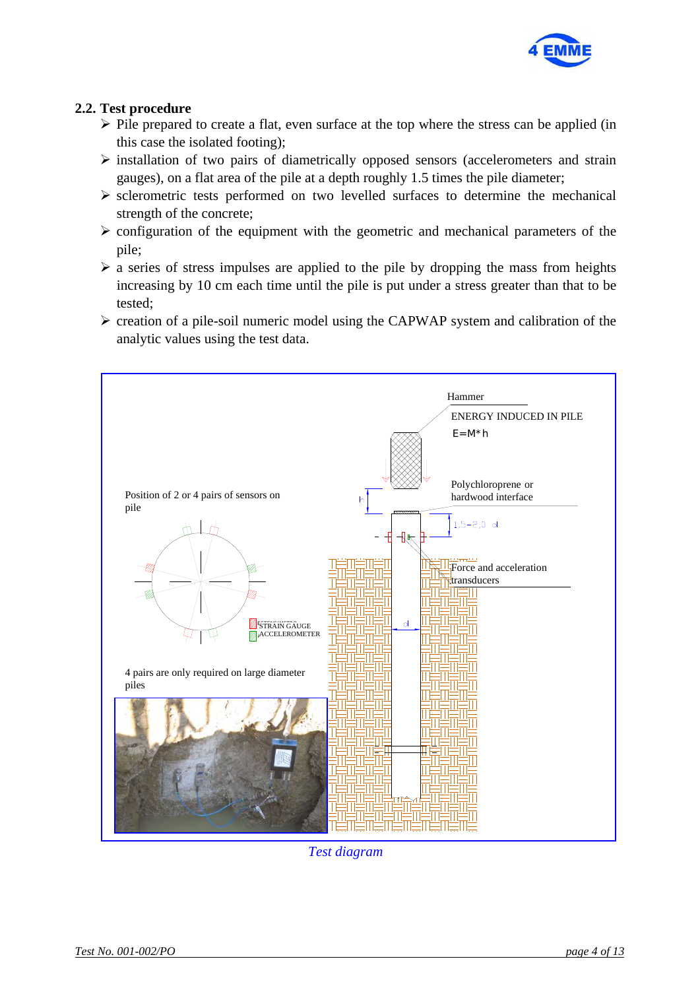

### **2.2. Test procedure**

- $\triangleright$  Pile prepared to create a flat, even surface at the top where the stress can be applied (in this case the isolated footing);
- $\triangleright$  installation of two pairs of diametrically opposed sensors (accelerometers and strain gauges), on a flat area of the pile at a depth roughly 1.5 times the pile diameter;
- $\triangleright$  sclerometric tests performed on two levelled surfaces to determine the mechanical strength of the concrete;
- $\triangleright$  configuration of the equipment with the geometric and mechanical parameters of the pile;
- $\triangleright$  a series of stress impulses are applied to the pile by dropping the mass from heights increasing by 10 cm each time until the pile is put under a stress greater than that to be tested;
- $\triangleright$  creation of a pile-soil numeric model using the CAPWAP system and calibration of the analytic values using the test data.



*Test diagram*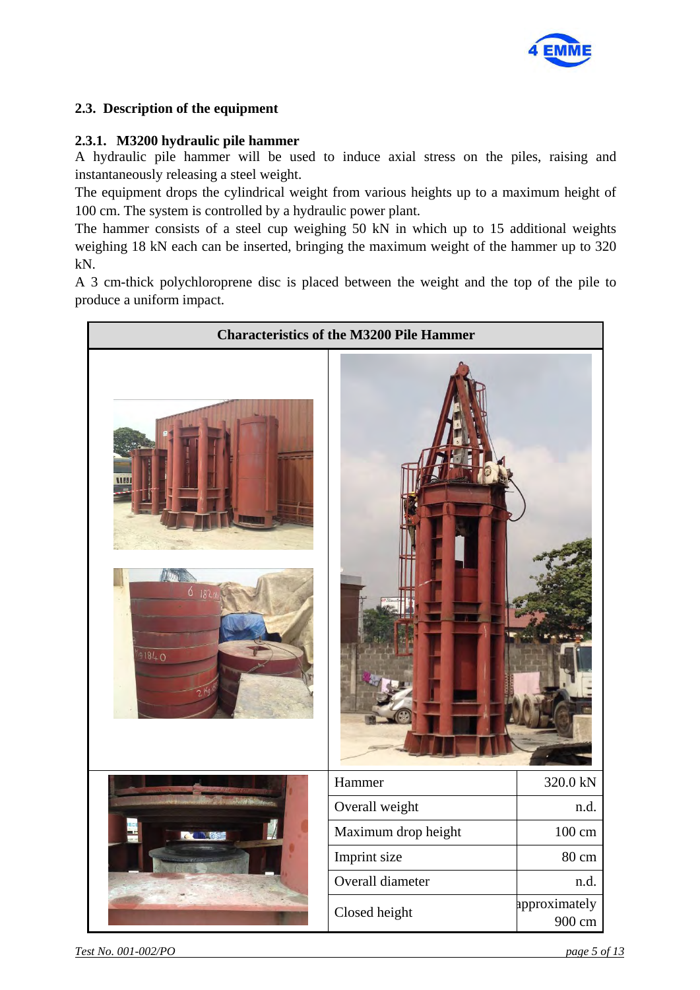

### **2.3. Description of the equipment**

#### **2.3.1. M3200 hydraulic pile hammer**

A hydraulic pile hammer will be used to induce axial stress on the piles, raising and instantaneously releasing a steel weight.

The equipment drops the cylindrical weight from various heights up to a maximum height of 100 cm. The system is controlled by a hydraulic power plant.

The hammer consists of a steel cup weighing 50 kN in which up to 15 additional weights weighing 18 kN each can be inserted, bringing the maximum weight of the hammer up to 320 kN.

A 3 cm-thick polychloroprene disc is placed between the weight and the top of the pile to produce a uniform impact.

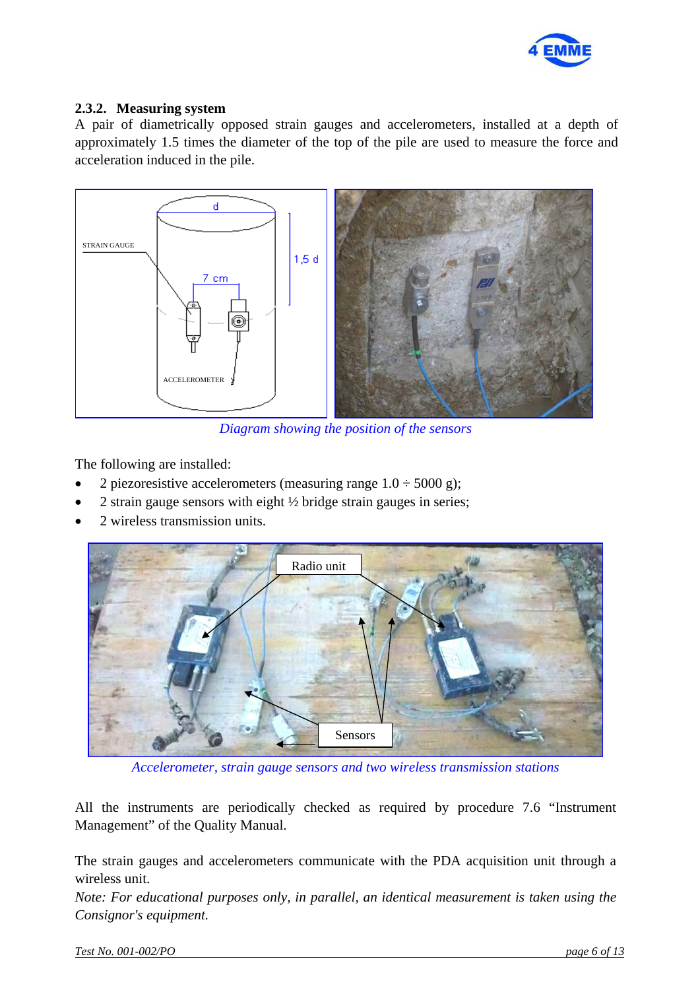

#### **2.3.2. Measuring system**

A pair of diametrically opposed strain gauges and accelerometers, installed at a depth of approximately 1.5 times the diameter of the top of the pile are used to measure the force and acceleration induced in the pile.



*Diagram showing the position of the sensors* 

The following are installed:

- 2 piezoresistive accelerometers (measuring range  $1.0 \div 5000$  g);
- 2 strain gauge sensors with eight ½ bridge strain gauges in series;
- 2 wireless transmission units.



*Accelerometer, strain gauge sensors and two wireless transmission stations* 

All the instruments are periodically checked as required by procedure 7.6 "Instrument Management" of the Quality Manual.

The strain gauges and accelerometers communicate with the PDA acquisition unit through a wireless unit.

*Note: For educational purposes only, in parallel, an identical measurement is taken using the Consignor's equipment.*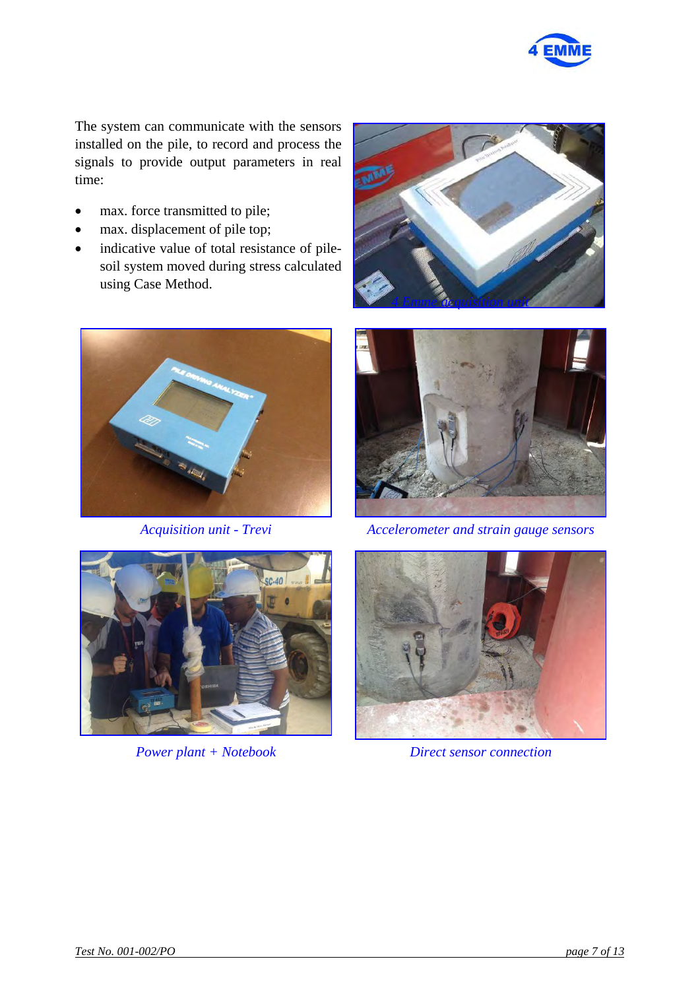

The system can communicate with the sensors installed on the pile, to record and process the signals to provide output parameters in real time:

- max. force transmitted to pile;
- max. displacement of pile top;
- indicative value of total resistance of pilesoil system moved during stress calculated using Case Method.







*Acquisition unit - Trevi Accelerometer and strain gauge sensors*



*Power plant + Notebook Direct sensor connection* 

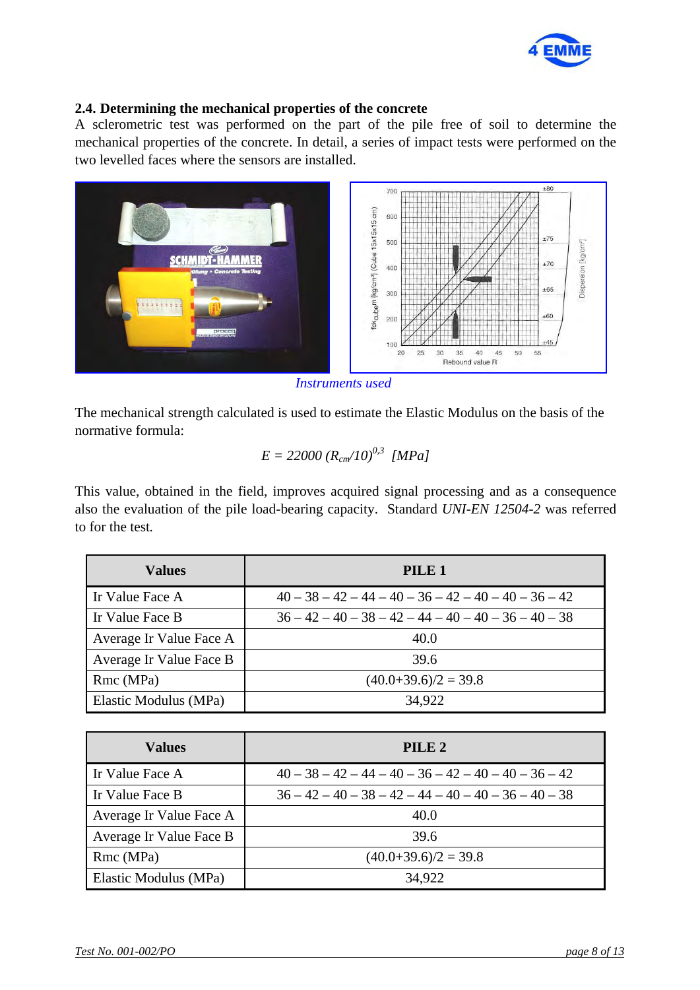

#### **2.4. Determining the mechanical properties of the concrete**

A sclerometric test was performed on the part of the pile free of soil to determine the mechanical properties of the concrete. In detail, a series of impact tests were performed on the two levelled faces where the sensors are installed.



*Instruments used*

The mechanical strength calculated is used to estimate the Elastic Modulus on the basis of the normative formula:

$$
E = 22000 (R_{cm}/10)^{0.3} [MPa]
$$

This value, obtained in the field, improves acquired signal processing and as a consequence also the evaluation of the pile load-bearing capacity. Standard *UNI-EN 12504-2* was referred to for the test*.* 

| <b>Values</b>           | PILE 1                                                 |  |  |  |  |
|-------------------------|--------------------------------------------------------|--|--|--|--|
| Ir Value Face A         | $40 - 38 - 42 - 44 - 40 - 36 - 42 - 40 - 40 - 36 - 42$ |  |  |  |  |
| Ir Value Face B         | $36 - 42 - 40 - 38 - 42 - 44 - 40 - 40 - 36 - 40 - 38$ |  |  |  |  |
| Average Ir Value Face A | 40.0                                                   |  |  |  |  |
| Average Ir Value Face B | 39.6                                                   |  |  |  |  |
| Rmc (MPa)               | $(40.0+39.6)/2=39.8$                                   |  |  |  |  |
| Elastic Modulus (MPa)   | 34,922                                                 |  |  |  |  |

| <b>Values</b>           | PILE <sub>2</sub>                                      |  |  |  |  |
|-------------------------|--------------------------------------------------------|--|--|--|--|
| Ir Value Face A         | $40 - 38 - 42 - 44 - 40 - 36 - 42 - 40 - 40 - 36 - 42$ |  |  |  |  |
| Ir Value Face B         | $36 - 42 - 40 - 38 - 42 - 44 - 40 - 40 - 36 - 40 - 38$ |  |  |  |  |
| Average Ir Value Face A | 40.0                                                   |  |  |  |  |
| Average Ir Value Face B | 39.6                                                   |  |  |  |  |
| Rmc (MPa)               | $(40.0+39.6)/2 = 39.8$                                 |  |  |  |  |
| Elastic Modulus (MPa)   | 34,922                                                 |  |  |  |  |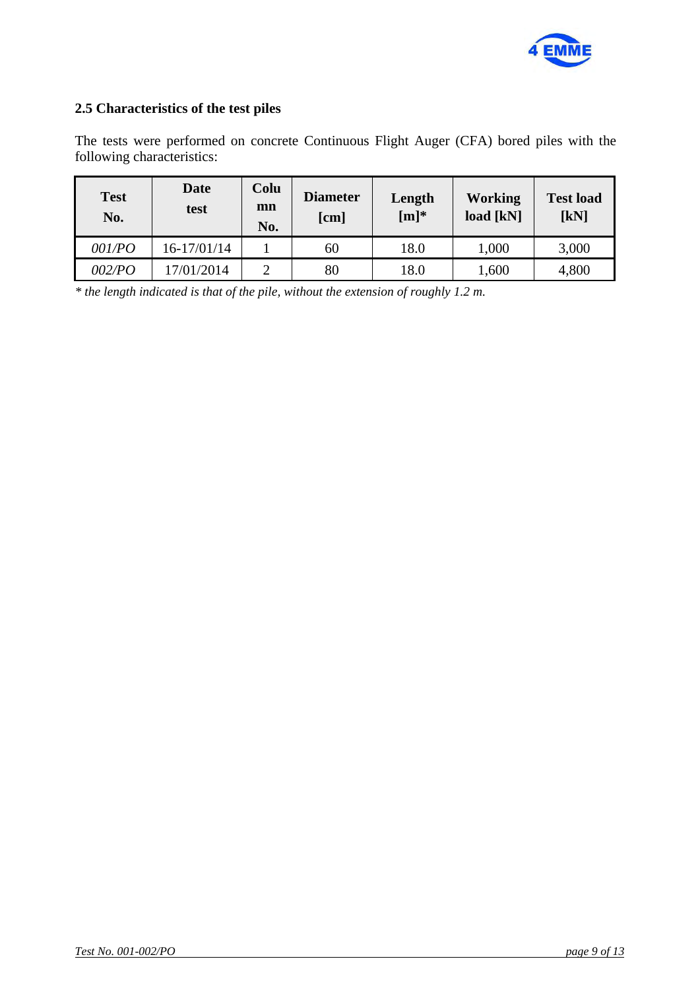

#### **2.5 Characteristics of the test piles**

The tests were performed on concrete Continuous Flight Auger (CFA) bored piles with the following characteristics:

| <b>Test</b><br>No. | Date<br>test | Colu<br>mn<br>No. | <b>Diameter</b><br>[cm] | Length<br>$[m]^{*}$ | Working<br>load [kN] | <b>Test load</b><br>[kN] |
|--------------------|--------------|-------------------|-------------------------|---------------------|----------------------|--------------------------|
| 001/PO             | 16-17/01/14  |                   | 60                      | 18.0                | 1,000                | 3,000                    |
| <i>002/PO</i>      | 17/01/2014   | ◠                 | 80                      | 18.0                | 1,600                | 4,800                    |

*\* the length indicated is that of the pile, without the extension of roughly 1.2 m.*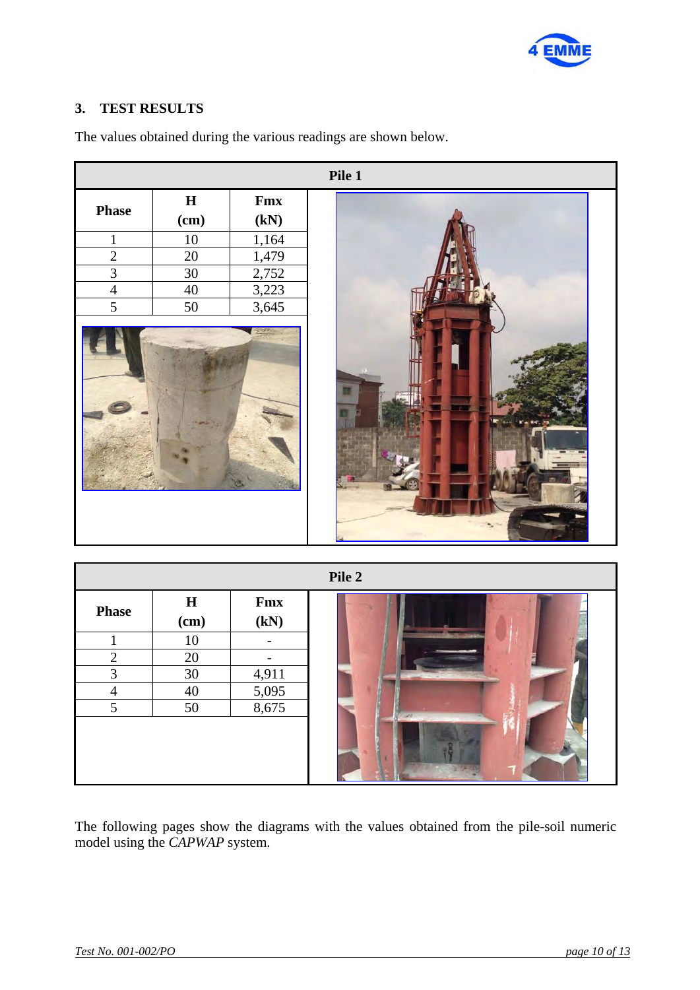

### **3. TEST RESULTS**

|                |                     |                          | Pile 1 |
|----------------|---------------------|--------------------------|--------|
| <b>Phase</b>   | $\mathbf H$<br>(cm) | Fmx<br>(kN)              |        |
| $\mathbf{1}$   | $\overline{10}$     | 1,164                    |        |
| $\overline{2}$ | $\overline{20}$     | 1,479                    |        |
| $\overline{3}$ | 30                  | 2,752                    |        |
| $\overline{4}$ | 40                  | 3,223                    |        |
| $\overline{5}$ | $\overline{50}$     | 3,645                    |        |
|                |                     |                          |        |
|                |                     |                          | Pile 2 |
|                | $\mathbf H$         | Fmx                      |        |
| <b>Phase</b>   | (cm)                | (kN)                     |        |
| $\mathbf{1}$   | $\overline{10}$     | $\overline{\phantom{a}}$ |        |
| $\overline{2}$ | 20                  | $\Box$                   |        |
| $\overline{3}$ | $\overline{30}$     | 4,911                    |        |
| $\overline{4}$ | 40                  | 5,095                    |        |
| $\overline{5}$ | $\overline{50}$     | 8,675                    |        |
|                |                     |                          |        |

The values obtained during the various readings are shown below.

The following pages show the diagrams with the values obtained from the pile-soil numeric model using the *CAPWAP* system.

 $7<sup>2</sup>$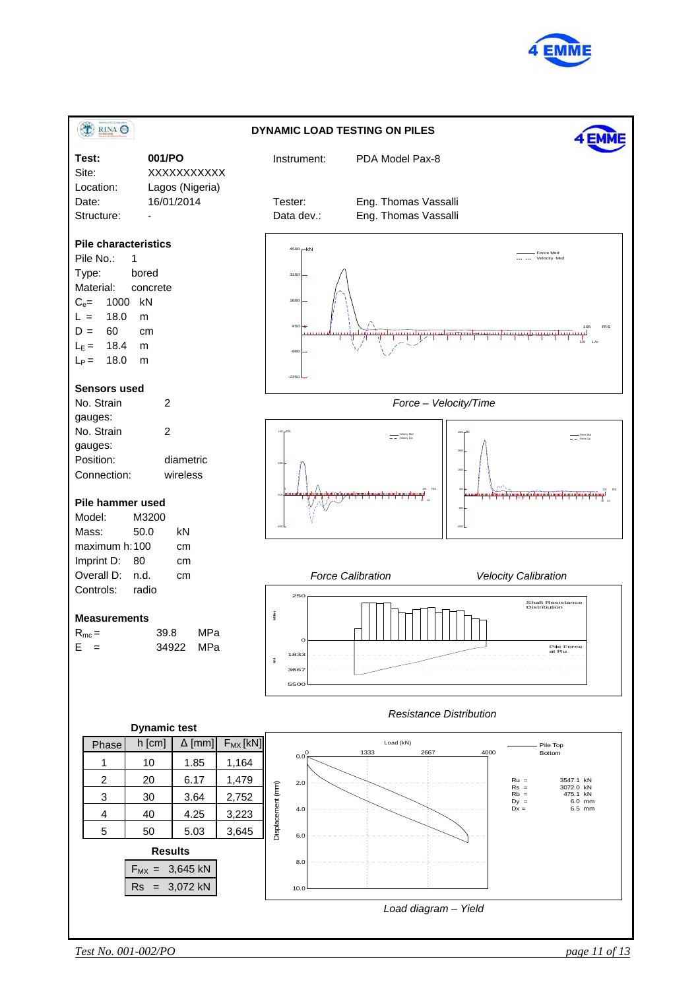

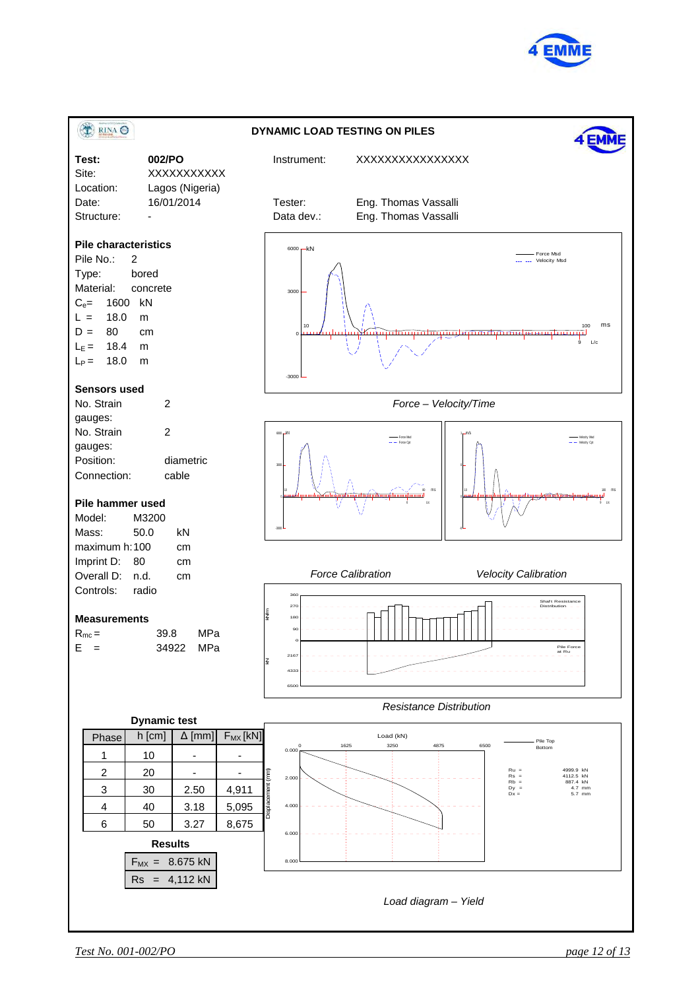